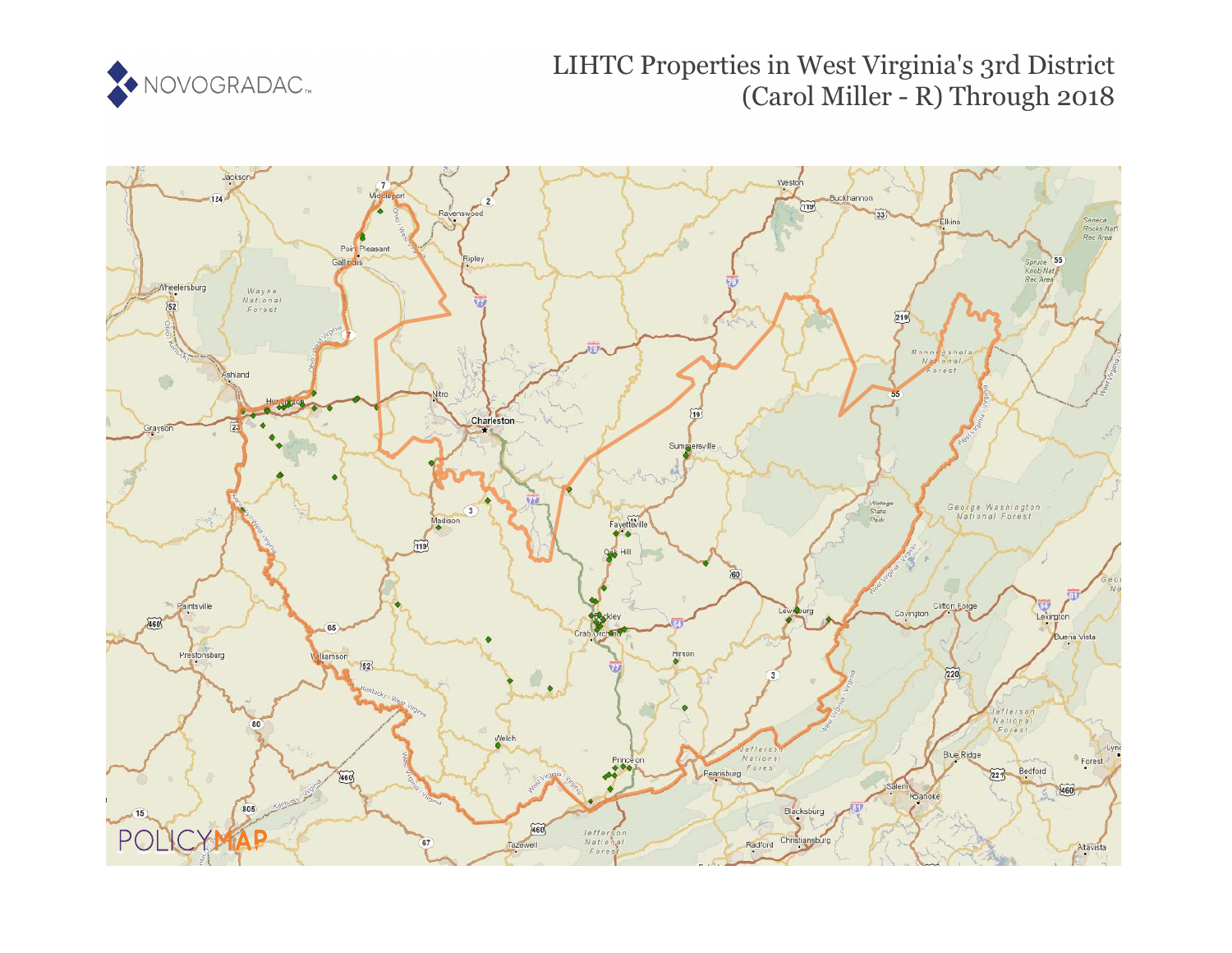

# LIHTC Properties in West Virginia's 3rd District (Carol Miller - R) Through 2018

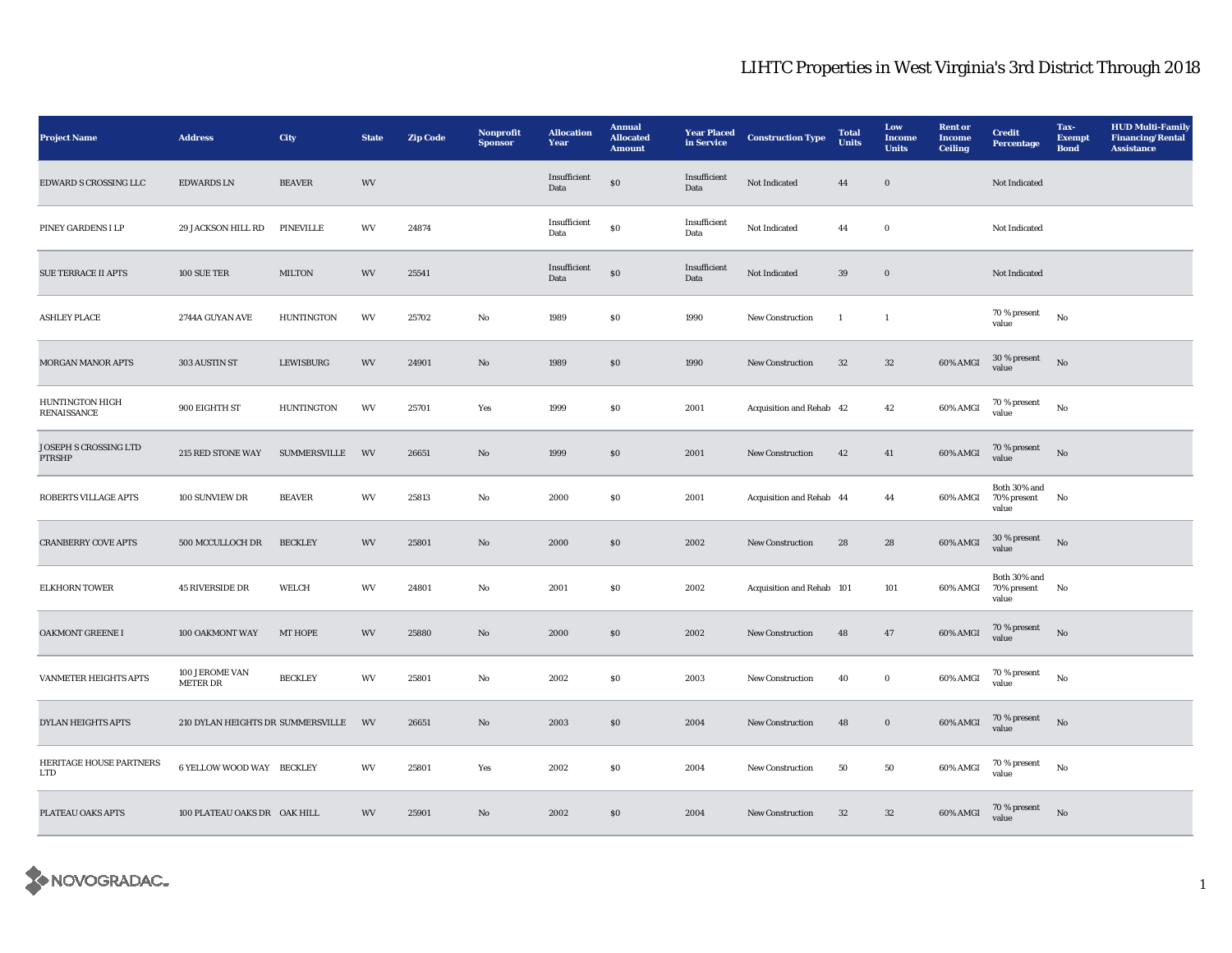| <b>Project Name</b>                    | <b>Address</b>                    | <b>City</b>       | <b>State</b> | <b>Zip Code</b> | Nonprofit<br><b>Sponsor</b> | <b>Allocation</b><br>Year | <b>Annual</b><br><b>Allocated</b><br><b>Amount</b> | <b>Year Placed</b><br>in Service | <b>Construction Type</b>  | <b>Total</b><br><b>Units</b> | Low<br>Income<br><b>Units</b> | <b>Rent</b> or<br>Income<br><b>Ceiling</b> | <b>Credit</b><br>Percentage             | Tax-<br><b>Exempt</b><br><b>Bond</b> | <b>HUD Multi-Family</b><br><b>Financing/Rental</b><br><b>Assistance</b> |
|----------------------------------------|-----------------------------------|-------------------|--------------|-----------------|-----------------------------|---------------------------|----------------------------------------------------|----------------------------------|---------------------------|------------------------------|-------------------------------|--------------------------------------------|-----------------------------------------|--------------------------------------|-------------------------------------------------------------------------|
| EDWARD S CROSSING LLC                  | <b>EDWARDS LN</b>                 | <b>BEAVER</b>     | WV           |                 |                             | Insufficient<br>Data      | ${\bf S0}$                                         | Insufficient<br>Data             | Not Indicated             | 44                           | $\mathbf 0$                   |                                            | Not Indicated                           |                                      |                                                                         |
| PINEY GARDENS I LP                     | 29 JACKSON HILL RD                | PINEVILLE         | WV           | 24874           |                             | Insufficient<br>Data      | $\$0$                                              | Insufficient<br>Data             | Not Indicated             | 44                           | $\mathbf 0$                   |                                            | Not Indicated                           |                                      |                                                                         |
| <b>SUE TERRACE II APTS</b>             | 100 SUE TER                       | <b>MILTON</b>     | WV           | 25541           |                             | Insufficient<br>Data      | $\$0$                                              | Insufficient<br>Data             | Not Indicated             | 39                           | $\boldsymbol{0}$              |                                            | Not Indicated                           |                                      |                                                                         |
| <b>ASHLEY PLACE</b>                    | 2744A GUYAN AVE                   | <b>HUNTINGTON</b> | WV           | 25702           | No                          | 1989                      | \$0                                                | 1990                             | New Construction          | $\mathbf{1}$                 | $\mathbf{1}$                  |                                            | 70 % present<br>value                   | $_{\rm No}$                          |                                                                         |
| <b>MORGAN MANOR APTS</b>               | 303 AUSTIN ST                     | <b>LEWISBURG</b>  | WV           | 24901           | $\mathbf{N}\mathbf{o}$      | 1989                      | \$0\$                                              | 1990                             | New Construction          | 32                           | $32\,$                        | 60% AMGI                                   | 30 % present<br>value                   | $\rm No$                             |                                                                         |
| <b>HUNTINGTON HIGH</b><br>RENAISSANCE  | 900 EIGHTH ST                     | <b>HUNTINGTON</b> | WV           | 25701           | Yes                         | 1999                      | \$0\$                                              | 2001                             | Acquisition and Rehab 42  |                              | 42                            | 60% AMGI                                   | 70 % present<br>value                   | $_{\rm No}$                          |                                                                         |
| <b>JOSEPH S CROSSING LTD</b><br>PTRSHP | 215 RED STONE WAY                 | SUMMERSVILLE      | WV           | 26651           | No                          | 1999                      | ${\bf S0}$                                         | 2001                             | New Construction          | 42                           | 41                            | 60% AMGI                                   | 70 % present<br>value                   | No                                   |                                                                         |
| <b>ROBERTS VILLAGE APTS</b>            | 100 SUNVIEW DR                    | <b>BEAVER</b>     | WV           | 25813           | No                          | 2000                      | \$0\$                                              | 2001                             | Acquisition and Rehab 44  |                              | 44                            | 60% AMGI                                   | Both 30% and<br>70% present<br>value    | No                                   |                                                                         |
| <b>CRANBERRY COVE APTS</b>             | 500 MCCULLOCH DR                  | <b>BECKLEY</b>    | WV           | 25801           | $\mathbf{N}\mathbf{o}$      | 2000                      | \$0\$                                              | 2002                             | <b>New Construction</b>   | 28                           | 28                            | 60% AMGI                                   | 30 % present<br>value                   | No                                   |                                                                         |
| <b>ELKHORN TOWER</b>                   | <b>45 RIVERSIDE DR</b>            | WELCH             | WV           | 24801           | No                          | 2001                      | $\$0$                                              | 2002                             | Acquisition and Rehab 101 |                              | 101                           | 60% AMGI                                   | Both 30% and<br>70% present No<br>value |                                      |                                                                         |
| OAKMONT GREENE I                       | 100 OAKMONT WAY                   | <b>MT HOPE</b>    | WV           | 25880           | No                          | 2000                      | S <sub>0</sub>                                     | 2002                             | New Construction          | 48                           | $\bf 47$                      | $60\%$ AMGI                                | 70 % present<br>value                   | No                                   |                                                                         |
| VANMETER HEIGHTS APTS                  | 100 JEROME VAN<br><b>METER DR</b> | <b>BECKLEY</b>    | WV           | 25801           | No                          | 2002                      | $\boldsymbol{\mathsf{S}}\boldsymbol{\mathsf{0}}$   | 2003                             | <b>New Construction</b>   | 40                           | $\bf{0}$                      | 60% AMGI                                   | $70\,\%$ present<br>value               | No                                   |                                                                         |
| <b>DYLAN HEIGHTS APTS</b>              | 210 DYLAN HEIGHTS DR SUMMERSVILLE |                   | <b>WV</b>    | 26651           | No                          | 2003                      | \$0\$                                              | 2004                             | New Construction          | 48                           | $\bf{0}$                      | 60% AMGI                                   | 70 % present<br>value                   | No                                   |                                                                         |
| HERITAGE HOUSE PARTNERS<br>LTD         | 6 YELLOW WOOD WAY BECKLEY         |                   | WV           | 25801           | Yes                         | 2002                      | \$0                                                | 2004                             | <b>New Construction</b>   | 50                           | 50                            | 60% AMGI                                   | $70$ % present<br>value                 | No                                   |                                                                         |
| PLATEAU OAKS APTS                      | 100 PLATEAU OAKS DR OAK HILL      |                   | WV           | 25901           | $\mathbf{N}\mathbf{o}$      | 2002                      | \$0\$                                              | 2004                             | <b>New Construction</b>   | 32                           | $32\,$                        | 60% AMGI                                   | $70$ % present<br>value                 | $_{\rm No}$                          |                                                                         |

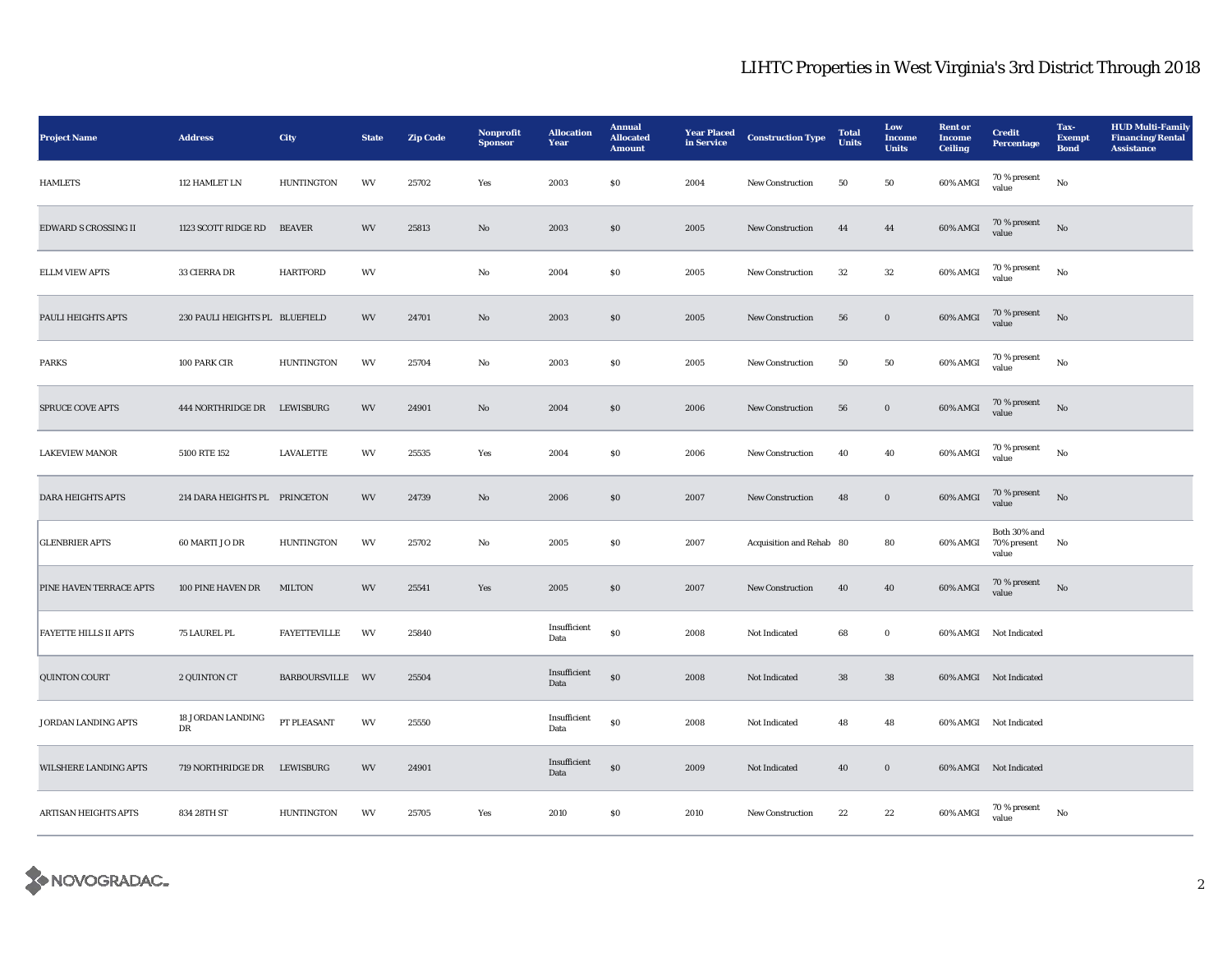| <b>Project Name</b>          | <b>Address</b>                 | City                | <b>State</b> | <b>Zip Code</b> | <b>Nonprofit</b><br><b>Sponsor</b> | <b>Allocation</b><br>Year | <b>Annual</b><br><b>Allocated</b><br><b>Amount</b> | <b>Year Placed</b><br>in Service | <b>Construction Type</b> | <b>Total</b><br><b>Units</b> | Low<br>Income<br><b>Units</b> | <b>Rent or</b><br><b>Income</b><br><b>Ceiling</b> | <b>Credit</b><br>Percentage          | Tax-<br><b>Exempt</b><br><b>Bond</b> | <b>HUD Multi-Family</b><br><b>Financing/Rental</b><br><b>Assistance</b> |
|------------------------------|--------------------------------|---------------------|--------------|-----------------|------------------------------------|---------------------------|----------------------------------------------------|----------------------------------|--------------------------|------------------------------|-------------------------------|---------------------------------------------------|--------------------------------------|--------------------------------------|-------------------------------------------------------------------------|
| <b>HAMLETS</b>               | 112 HAMLET LN                  | <b>HUNTINGTON</b>   | WV           | 25702           | Yes                                | 2003                      | \$0\$                                              | 2004                             | New Construction         | 50                           | 50                            | 60% AMGI                                          | 70 % present<br>value                | $_{\rm No}$                          |                                                                         |
| EDWARD S CROSSING II         | 1123 SCOTT RIDGE RD            | <b>BEAVER</b>       | WV           | 25813           | $\mathbf{N}\mathbf{o}$             | 2003                      | \$0\$                                              | 2005                             | New Construction         | 44                           | 44                            | 60% AMGI                                          | 70 % present<br>value                | $\rm \bf No$                         |                                                                         |
| <b>ELLM VIEW APTS</b>        | 33 CIERRA DR                   | <b>HARTFORD</b>     | WV           |                 | No                                 | 2004                      | \$0\$                                              | 2005                             | <b>New Construction</b>  | 32                           | 32                            | 60% AMGI                                          | $70\,\%$ present<br>value            | No                                   |                                                                         |
| PAULI HEIGHTS APTS           | 230 PAULI HEIGHTS PL BLUEFIELD |                     | WV           | 24701           | No                                 | 2003                      | \$0\$                                              | 2005                             | New Construction         | 56                           | $\boldsymbol{0}$              | 60% AMGI                                          | $70$ % present value                 | No                                   |                                                                         |
| <b>PARKS</b>                 | 100 PARK CIR                   | <b>HUNTINGTON</b>   | WV           | 25704           | No                                 | 2003                      | $\$0$                                              | 2005                             | New Construction         | 50                           | 50                            | 60% AMGI                                          | 70 % present<br>value                | $_{\rm No}$                          |                                                                         |
| SPRUCE COVE APTS             | 444 NORTHRIDGE DR LEWISBURG    |                     | WV           | 24901           | $\rm No$                           | 2004                      | ${\bf S0}$                                         | 2006                             | New Construction         | 56                           | $\mathbf 0$                   | 60% AMGI                                          | $70\,\%$ present<br>value            | $_{\rm No}$                          |                                                                         |
| <b>LAKEVIEW MANOR</b>        | 5100 RTE 152                   | <b>LAVALETTE</b>    | WV           | 25535           | Yes                                | 2004                      | $\$0$                                              | 2006                             | New Construction         | 40                           | 40                            | 60% AMGI                                          | 70 % present<br>value                | $_{\rm No}$                          |                                                                         |
| <b>DARA HEIGHTS APTS</b>     | 214 DARA HEIGHTS PL PRINCETON  |                     | WV           | 24739           | $\mathbf{N}\mathbf{o}$             | 2006                      | $\$0$                                              | 2007                             | New Construction         | 48                           | $\mathbf 0$                   | $60\%$ AMGI                                       | 70 % present<br>value                | No                                   |                                                                         |
| <b>GLENBRIER APTS</b>        | 60 MARTI JO DR                 | <b>HUNTINGTON</b>   | WV           | 25702           | No                                 | 2005                      | \$0                                                | 2007                             | Acquisition and Rehab 80 |                              | 80                            | 60% AMGI                                          | Both 30% and<br>70% present<br>value | No                                   |                                                                         |
| PINE HAVEN TERRACE APTS      | 100 PINE HAVEN DR              | <b>MILTON</b>       | WV           | 25541           | Yes                                | 2005                      | \$0\$                                              | 2007                             | New Construction         | 40                           | 40                            | $60\%$ AMGI                                       | 70 % present<br>value                | $\mathbf{N}\mathbf{o}$               |                                                                         |
| <b>FAYETTE HILLS II APTS</b> | 75 LAUREL PL                   | <b>FAYETTEVILLE</b> | WV           | 25840           |                                    | Insufficient<br>Data      | $\$0$                                              | 2008                             | Not Indicated            | 68                           | $\bf{0}$                      |                                                   | 60% AMGI Not Indicated               |                                      |                                                                         |
| <b>QUINTON COURT</b>         | 2 QUINTON CT                   | BARBOURSVILLE WV    |              | 25504           |                                    | Insufficient<br>Data      | $\$0$                                              | 2008                             | Not Indicated            | 38                           | ${\bf 38}$                    |                                                   | 60% AMGI Not Indicated               |                                      |                                                                         |
| JORDAN LANDING APTS          | 18 JORDAN LANDING<br>DR        | PT PLEASANT         | WV           | 25550           |                                    | Insufficient<br>Data      | $\$0$                                              | 2008                             | Not Indicated            | 48                           | 48                            |                                                   | 60% AMGI Not Indicated               |                                      |                                                                         |
| WILSHERE LANDING APTS        | 719 NORTHRIDGE DR              | <b>LEWISBURG</b>    | WV           | 24901           |                                    | Insufficient<br>Data      | $\$0$                                              | 2009                             | Not Indicated            | 40                           | $\boldsymbol{0}$              |                                                   | 60% AMGI Not Indicated               |                                      |                                                                         |
| <b>ARTISAN HEIGHTS APTS</b>  | 834 28TH ST                    | <b>HUNTINGTON</b>   | WV           | 25705           | Yes                                | 2010                      | \$0\$                                              | 2010                             | <b>New Construction</b>  | 22                           | 22                            | 60% AMGI                                          | 70 % present<br>value                | No                                   |                                                                         |

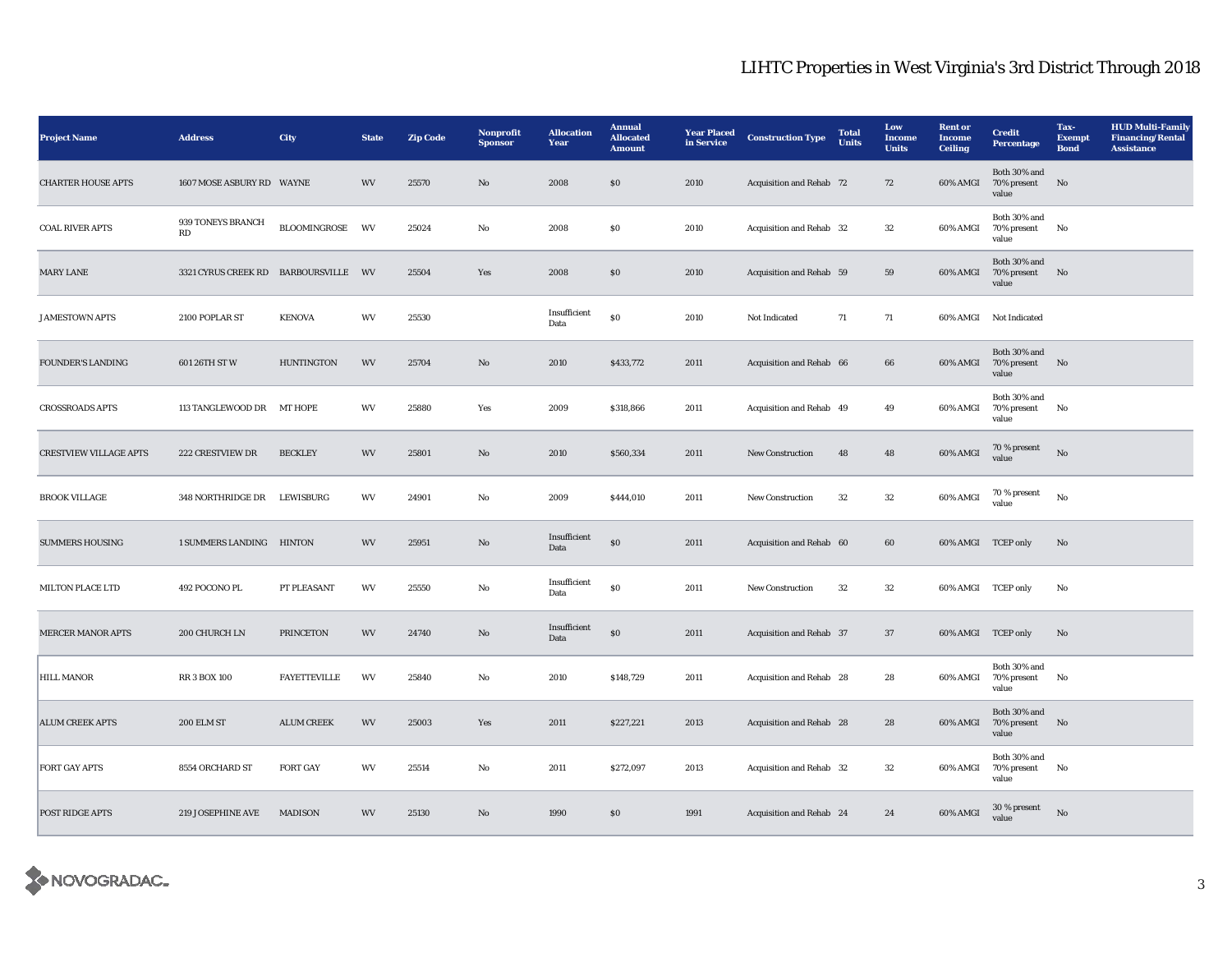| <b>Project Name</b>           | <b>Address</b>                       | <b>City</b>         | <b>State</b> | <b>Zip Code</b> | Nonprofit<br><b>Sponsor</b> | <b>Allocation</b><br>Year | <b>Annual</b><br><b>Allocated</b><br><b>Amount</b> | <b>Year Placed</b><br>in Service | <b>Construction Type</b>        | <b>Total</b><br><b>Units</b> | Low<br><b>Income</b><br><b>Units</b> | <b>Rent</b> or<br><b>Income</b><br><b>Ceiling</b> | <b>Credit</b><br><b>Percentage</b>               | Tax-<br><b>Exempt</b><br><b>Bond</b> | <b>HUD Multi-Family</b><br><b>Financing/Rental</b><br><b>Assistance</b> |
|-------------------------------|--------------------------------------|---------------------|--------------|-----------------|-----------------------------|---------------------------|----------------------------------------------------|----------------------------------|---------------------------------|------------------------------|--------------------------------------|---------------------------------------------------|--------------------------------------------------|--------------------------------------|-------------------------------------------------------------------------|
| <b>CHARTER HOUSE APTS</b>     | 1607 MOSE ASBURY RD WAYNE            |                     | <b>WV</b>    | 25570           | $\mathbf{N}\mathbf{o}$      | 2008                      | \$0\$                                              | 2010                             | Acquisition and Rehab 72        |                              | 72                                   | 60% AMGI                                          | Both 30% and<br>70% present<br>value             | No                                   |                                                                         |
| <b>COAL RIVER APTS</b>        | 939 TONEYS BRANCH<br>RD              | BLOOMINGROSE        | WV           | 25024           | No                          | 2008                      | $\$0$                                              | 2010                             | Acquisition and Rehab 32        |                              | $32\,$                               | 60% AMGI                                          | Both 30% and<br>70% present<br>value             | No                                   |                                                                         |
| MARY LANE                     | 3321 CYRUS CREEK RD BARBOURSVILLE WV |                     |              | 25504           | Yes                         | 2008                      | ${\bf S0}$                                         | 2010                             | Acquisition and Rehab 59        |                              | 59                                   |                                                   | Both 30% and<br>60% AMGI 70% present No<br>value |                                      |                                                                         |
| <b>JAMESTOWN APTS</b>         | 2100 POPLAR ST                       | <b>KENOVA</b>       | WV           | 25530           |                             | Insufficient<br>Data      | SO <sub>2</sub>                                    | 2010                             | Not Indicated                   | 71                           | $71\,$                               |                                                   | 60% AMGI Not Indicated                           |                                      |                                                                         |
| <b>FOUNDER'S LANDING</b>      | 601 26TH ST W                        | <b>HUNTINGTON</b>   | WV           | 25704           | $\mathbf{N}\mathbf{o}$      | 2010                      | \$433,772                                          | 2011                             | Acquisition and Rehab 66        |                              | 66                                   | 60% AMGI                                          | Both 30% and<br>70% present<br>value             | No                                   |                                                                         |
| <b>CROSSROADS APTS</b>        | 113 TANGLEWOOD DR MT HOPE            |                     | WV           | 25880           | Yes                         | 2009                      | \$318,866                                          | 2011                             | Acquisition and Rehab 49        |                              | 49                                   | 60% AMGI                                          | Both 30% and<br>70% present<br>value             | No                                   |                                                                         |
| <b>CRESTVIEW VILLAGE APTS</b> | 222 CRESTVIEW DR                     | <b>BECKLEY</b>      | WV           | 25801           | No                          | 2010                      | \$560,334                                          | 2011                             | New Construction                | 48                           | 48                                   | 60% AMGI                                          | $70$ % present<br>value                          | No                                   |                                                                         |
| <b>BROOK VILLAGE</b>          | 348 NORTHRIDGE DR LEWISBURG          |                     | WV           | 24901           | No                          | 2009                      | \$444,010                                          | 2011                             | New Construction                | 32                           | $32\,$                               | 60% AMGI                                          | 70 % present<br>value                            | $_{\rm No}$                          |                                                                         |
| <b>SUMMERS HOUSING</b>        | 1 SUMMERS LANDING HINTON             |                     | WV           | 25951           | No                          | Insufficient<br>Data      | $\$0$                                              | 2011                             | Acquisition and Rehab 60        |                              | 60                                   | 60% AMGI TCEP only                                |                                                  | No                                   |                                                                         |
| MILTON PLACE LTD              | 492 POCONO PL                        | PT PLEASANT         | WV           | 25550           | No                          | Insufficient<br>Data      | $\$0$                                              | 2011                             | New Construction                | 32                           | $32\,$                               | 60% AMGI TCEP only                                |                                                  | No                                   |                                                                         |
| <b>MERCER MANOR APTS</b>      | 200 CHURCH LN                        | <b>PRINCETON</b>    | WV           | 24740           | $\rm No$                    | Insufficient<br>Data      | $\$0$                                              | 2011                             | Acquisition and Rehab 37        |                              | $37\,$                               | 60% AMGI TCEP only                                |                                                  | No                                   |                                                                         |
| <b>HILL MANOR</b>             | <b>RR 3 BOX 100</b>                  | <b>FAYETTEVILLE</b> | WV           | 25840           | No                          | 2010                      | \$148,729                                          | 2011                             | Acquisition and Rehab 28        |                              | 28                                   | 60% AMGI                                          | Both 30% and<br>70% present<br>value             | No                                   |                                                                         |
| <b>ALUM CREEK APTS</b>        | <b>200 ELM ST</b>                    | <b>ALUM CREEK</b>   | WV           | 25003           | Yes                         | 2011                      | \$227,221                                          | 2013                             | <b>Acquisition and Rehab 28</b> |                              | 28                                   | 60% AMGI                                          | Both 30% and<br>70% present No<br>value          |                                      |                                                                         |
| <b>FORT GAY APTS</b>          | 8554 ORCHARD ST                      | <b>FORT GAY</b>     | WV           | 25514           | No                          | 2011                      | \$272,097                                          | 2013                             | Acquisition and Rehab 32        |                              | 32                                   | 60% AMGI                                          | Both 30% and<br>70% present<br>value             | No                                   |                                                                         |
| POST RIDGE APTS               | 219 JOSEPHINE AVE                    | <b>MADISON</b>      | WV           | 25130           | $\mathbf{N}\mathbf{o}$      | 1990                      | $\$0$                                              | 1991                             | Acquisition and Rehab 24        |                              | 24                                   | 60% AMGI                                          | $30$ % present<br>value                          | $_{\rm No}$                          |                                                                         |

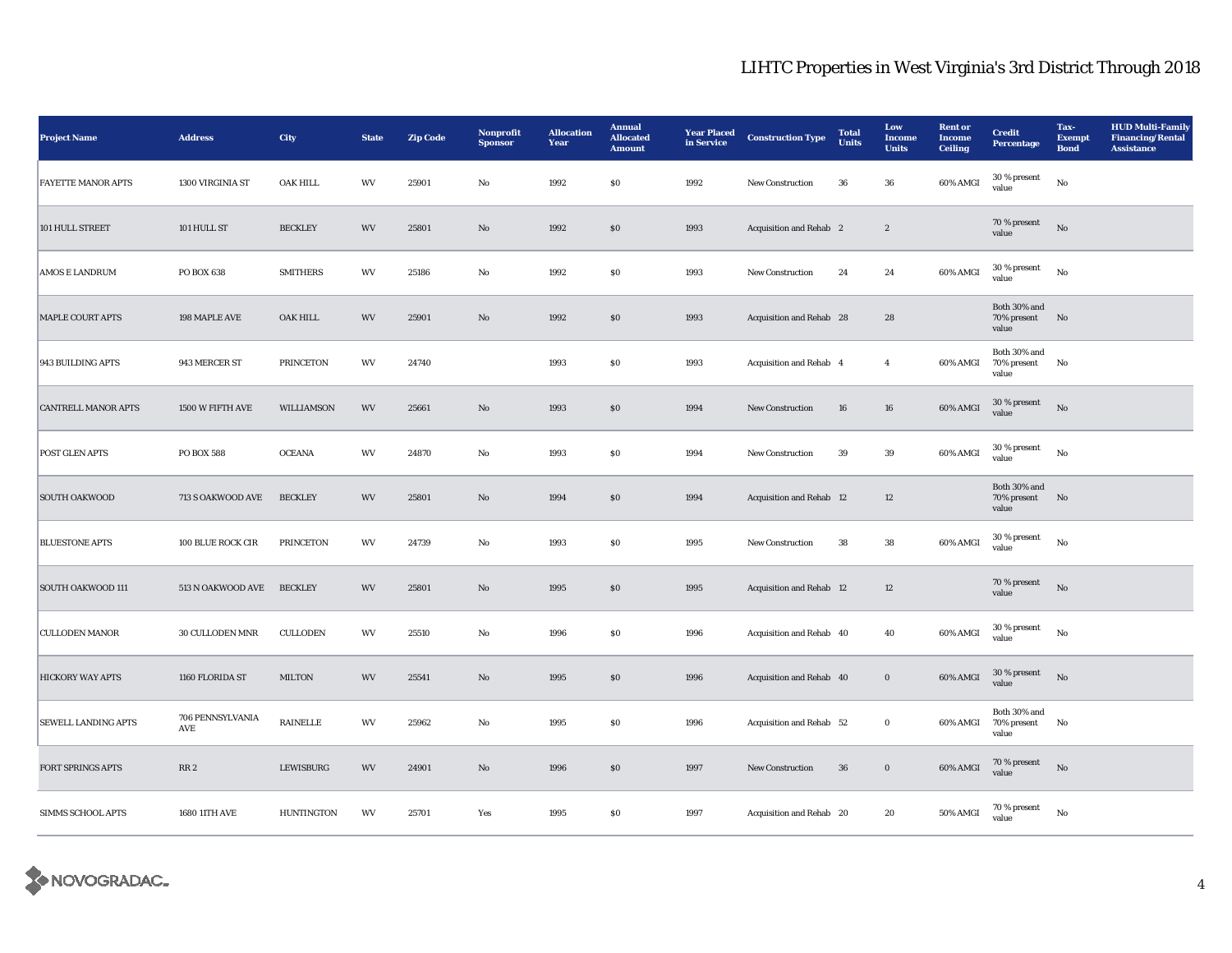| <b>Project Name</b>        | <b>Address</b>          | City             | <b>State</b>           | <b>Zip Code</b> | Nonprofit<br><b>Sponsor</b> | <b>Allocation</b><br>Year | <b>Annual</b><br><b>Allocated</b><br><b>Amount</b> | <b>Year Placed</b><br>in Service | <b>Construction Type</b> | <b>Total</b><br><b>Units</b> | Low<br>Income<br><b>Units</b> | <b>Rent or</b><br><b>Income</b><br><b>Ceiling</b> | <b>Credit</b><br>Percentage             | Tax-<br><b>Exempt</b><br><b>Bond</b> | <b>HUD Multi-Family</b><br><b>Financing/Rental</b><br><b>Assistance</b> |
|----------------------------|-------------------------|------------------|------------------------|-----------------|-----------------------------|---------------------------|----------------------------------------------------|----------------------------------|--------------------------|------------------------------|-------------------------------|---------------------------------------------------|-----------------------------------------|--------------------------------------|-------------------------------------------------------------------------|
| <b>FAYETTE MANOR APTS</b>  | 1300 VIRGINIA ST        | OAK HILL         | WV                     | 25901           | No                          | 1992                      | $\$0$                                              | 1992                             | New Construction         | 36                           | 36                            | 60% AMGI                                          | 30 % present<br>value                   | $_{\rm No}$                          |                                                                         |
| 101 HULL STREET            | 101 HULL ST             | <b>BECKLEY</b>   | <b>WV</b>              | 25801           | $\mathbf{N}\mathbf{o}$      | 1992                      | \$0                                                | 1993                             | Acquisition and Rehab 2  |                              | $\mathbf{2}$                  |                                                   | 70 % present<br>value                   | $\rm No$                             |                                                                         |
| <b>AMOS E LANDRUM</b>      | PO BOX 638              | <b>SMITHERS</b>  | WV                     | 25186           | No                          | 1992                      | $\$0$                                              | 1993                             | <b>New Construction</b>  | 24                           | 24                            | 60% AMGI                                          | 30 % present<br>value                   | No                                   |                                                                         |
| <b>MAPLE COURT APTS</b>    | 198 MAPLE AVE           | OAK HILL         | <b>WV</b>              | 25901           | No                          | 1992                      | \$0                                                | 1993                             | Acquisition and Rehab 28 |                              | 28                            |                                                   | Both 30% and<br>70% present No<br>value |                                      |                                                                         |
| 943 BUILDING APTS          | 943 MERCER ST           | <b>PRINCETON</b> | WV                     | 24740           |                             | 1993                      | $\$0$                                              | 1993                             | Acquisition and Rehab 4  |                              | $\overline{4}$                | 60% AMGI                                          | Both 30% and<br>70% present<br>value    | No                                   |                                                                         |
| <b>CANTRELL MANOR APTS</b> | 1500 W FIFTH AVE        | WILLIAMSON       | $\mathbf{W}\mathbf{V}$ | 25661           | $\mathbf{N}\mathbf{o}$      | 1993                      | $\$0$                                              | 1994                             | New Construction         | 16                           | 16                            | 60% AMGI                                          | 30 % present<br>value                   | $\rm No$                             |                                                                         |
| POST GLEN APTS             | <b>PO BOX 588</b>       | <b>OCEANA</b>    | WV                     | 24870           | No                          | 1993                      | $\$0$                                              | 1994                             | New Construction         | 39                           | $39\,$                        | 60% AMGI                                          | $30~\%$ present<br>value                | No                                   |                                                                         |
| <b>SOUTH OAKWOOD</b>       | 713 S OAKWOOD AVE       | <b>BECKLEY</b>   | <b>WV</b>              | 25801           | $\mathbf{N}\mathbf{o}$      | 1994                      | $\$0$                                              | 1994                             | Acquisition and Rehab 12 |                              | 12                            |                                                   | Both 30% and<br>70% present<br>value    | No                                   |                                                                         |
| <b>BLUESTONE APTS</b>      | 100 BLUE ROCK CIR       | <b>PRINCETON</b> | WV                     | 24739           | No                          | 1993                      | <b>SO</b>                                          | 1995                             | <b>New Construction</b>  | 38                           | 38                            | 60% AMGI                                          | 30 % present<br>value                   | $_{\rm No}$                          |                                                                         |
| SOUTH OAKWOOD 111          | 513 N OAKWOOD AVE       | <b>BECKLEY</b>   | <b>WV</b>              | 25801           | $\mathbf{N}\mathbf{o}$      | 1995                      | $\$0$                                              | 1995                             | Acquisition and Rehab 12 |                              | 12                            |                                                   | 70 % present<br>value                   | $\rm No$                             |                                                                         |
| <b>CULLODEN MANOR</b>      | 30 CULLODEN MNR         | <b>CULLODEN</b>  | WV                     | 25510           | $\rm No$                    | 1996                      | \$0                                                | 1996                             | Acquisition and Rehab 40 |                              | 40                            | 60% AMGI                                          | 30 % present<br>value                   | $_{\rm No}$                          |                                                                         |
| <b>HICKORY WAY APTS</b>    | 1160 FLORIDA ST         | <b>MILTON</b>    | WV                     | 25541           | $\mathbf{N}\mathbf{o}$      | 1995                      | $\$0$                                              | 1996                             | Acquisition and Rehab 40 |                              | $\mathbf{0}$                  | 60% AMGI                                          | $30$ % present<br>value                 | No                                   |                                                                         |
| <b>SEWELL LANDING APTS</b> | 706 PENNSYLVANIA<br>AVE | <b>RAINELLE</b>  | WV                     | 25962           | No                          | 1995                      | $\$0$                                              | 1996                             | Acquisition and Rehab 52 |                              | $\bf{0}$                      | 60% AMGI                                          | Both 30% and<br>70% present No<br>value |                                      |                                                                         |
| FORT SPRINGS APTS          | RR <sub>2</sub>         | <b>LEWISBURG</b> | WV                     | 24901           | $\mathbf{N}\mathbf{o}$      | 1996                      | \$0                                                | 1997                             | <b>New Construction</b>  | 36                           | $\boldsymbol{0}$              | 60% AMGI                                          | 70 % present<br>value                   | No                                   |                                                                         |
| <b>SIMMS SCHOOL APTS</b>   | 1680 11TH AVE           | HUNTINGTON       | WV                     | 25701           | Yes                         | 1995                      | \$0                                                | 1997                             | Acquisition and Rehab 20 |                              | 20                            | 50% AMGI                                          | 70 % present<br>value                   | $\rm No$                             |                                                                         |

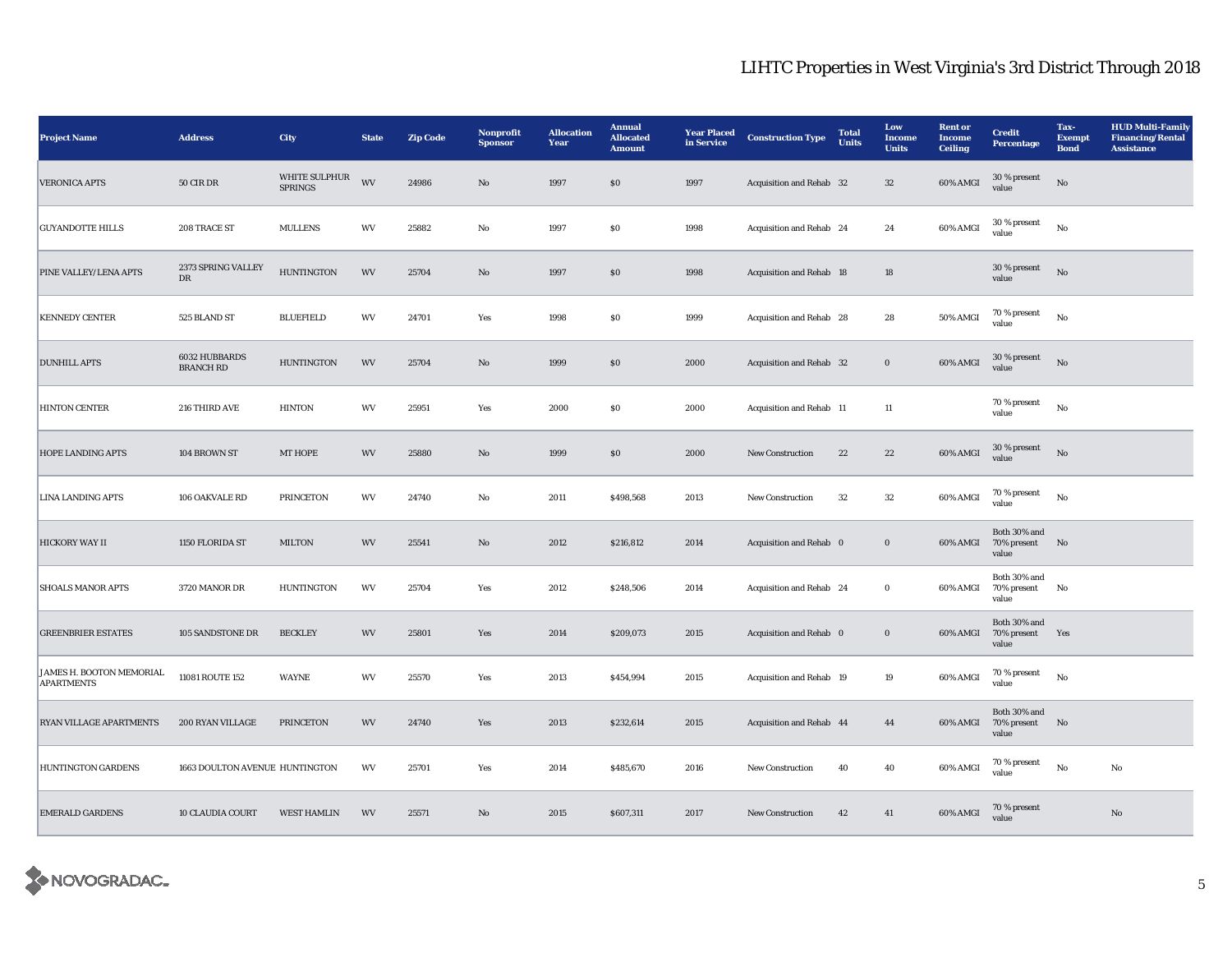| <b>Project Name</b>                           | <b>Address</b>                    | <b>City</b>                     | <b>State</b> | <b>Zip Code</b> | Nonprofit<br><b>Sponsor</b> | <b>Allocation</b><br>Year | <b>Annual</b><br><b>Allocated</b><br><b>Amount</b> | <b>Year Placed</b><br>in Service | <b>Construction Type</b> | <b>Total</b><br><b>Units</b> | Low<br>Income<br><b>Units</b> | <b>Rent or</b><br><b>Income</b><br><b>Ceiling</b> | <b>Credit</b><br>Percentage             | Tax-<br><b>Exempt</b><br><b>Bond</b> | <b>HUD Multi-Family</b><br><b>Financing/Rental</b><br><b>Assistance</b> |
|-----------------------------------------------|-----------------------------------|---------------------------------|--------------|-----------------|-----------------------------|---------------------------|----------------------------------------------------|----------------------------------|--------------------------|------------------------------|-------------------------------|---------------------------------------------------|-----------------------------------------|--------------------------------------|-------------------------------------------------------------------------|
| <b>VERONICA APTS</b>                          | $50$ CIR DR                       | WHITE SULPHUR<br><b>SPRINGS</b> | WV           | 24986           | $\mathbf{N}\mathbf{o}$      | 1997                      | $\$0$                                              | 1997                             | Acquisition and Rehab 32 |                              | $32\,$                        | 60% AMGI                                          | 30 % present<br>value                   | $\rm\thinspace No$                   |                                                                         |
| <b>GUYANDOTTE HILLS</b>                       | 208 TRACE ST                      | <b>MULLENS</b>                  | WV           | 25882           | $_{\rm No}$                 | 1997                      | ${\bf S0}$                                         | 1998                             | Acquisition and Rehab 24 |                              | 24                            | 60% AMGI                                          | 30 % present<br>value                   | $\rm No$                             |                                                                         |
| PINE VALLEY/LENA APTS                         | 2373 SPRING VALLEY<br>DR          | <b>HUNTINGTON</b>               | WV           | 25704           | $\mathbf{N}\mathbf{o}$      | 1997                      | \$0                                                | 1998                             | Acquisition and Rehab 18 |                              | 18                            |                                                   | 30 % present<br>value                   | $_{\rm No}$                          |                                                                         |
| <b>KENNEDY CENTER</b>                         | 525 BLAND ST                      | <b>BLUEFIELD</b>                | WV           | 24701           | Yes                         | 1998                      | \$0                                                | 1999                             | Acquisition and Rehab 28 |                              | 28                            | 50% AMGI                                          | 70 % present<br>value                   | $_{\rm No}$                          |                                                                         |
| <b>DUNHILL APTS</b>                           | 6032 HUBBARDS<br><b>BRANCH RD</b> | <b>HUNTINGTON</b>               | WV           | 25704           | No                          | 1999                      | $\$0$                                              | 2000                             | Acquisition and Rehab 32 |                              | $\mathbf 0$                   | 60% AMGI                                          | 30 % present<br>value                   | $_{\rm No}$                          |                                                                         |
| <b>HINTON CENTER</b>                          | 216 THIRD AVE                     | <b>HINTON</b>                   | WV           | 25951           | Yes                         | 2000                      | $\$0$                                              | 2000                             | Acquisition and Rehab 11 |                              | 11                            |                                                   | 70 % present<br>value                   | $\rm No$                             |                                                                         |
| HOPE LANDING APTS                             | 104 BROWN ST                      | MT HOPE                         | WV           | 25880           | $\mathbf{N}\mathbf{o}$      | 1999                      | $\$0$                                              | 2000                             | New Construction         | $\bf{22}$                    | $\bf 22$                      | 60% AMGI                                          | 30 % present<br>value                   | $_{\rm No}$                          |                                                                         |
| <b>LINA LANDING APTS</b>                      | 106 OAKVALE RD                    | <b>PRINCETON</b>                | WV           | 24740           | No                          | 2011                      | \$498,568                                          | 2013                             | <b>New Construction</b>  | 32                           | 32                            | 60% AMGI                                          | 70 % present<br>value                   | No                                   |                                                                         |
| <b>HICKORY WAY II</b>                         | 1150 FLORIDA ST                   | <b>MILTON</b>                   | WV           | 25541           | No                          | 2012                      | \$216,812                                          | 2014                             | Acquisition and Rehab 0  |                              | $\bf{0}$                      | 60% AMGI                                          | Both 30% and<br>70% present<br>value    | No                                   |                                                                         |
| <b>SHOALS MANOR APTS</b>                      | 3720 MANOR DR                     | <b>HUNTINGTON</b>               | WV           | 25704           | Yes                         | 2012                      | \$248,506                                          | 2014                             | Acquisition and Rehab 24 |                              | $\bf{0}$                      | 60% AMGI                                          | Both 30% and<br>70% present<br>value    | No                                   |                                                                         |
| <b>GREENBRIER ESTATES</b>                     | 105 SANDSTONE DR                  | <b>BECKLEY</b>                  | WV           | 25801           | Yes                         | 2014                      | \$209,073                                          | 2015                             | Acquisition and Rehab 0  |                              | $\boldsymbol{0}$              | 60% AMGI                                          | Both 30% and<br>70% present<br>value    | Yes                                  |                                                                         |
| JAMES H. BOOTON MEMORIAL<br><b>APARTMENTS</b> | 11081 ROUTE 152                   | WAYNE                           | WV           | 25570           | Yes                         | 2013                      | \$454,994                                          | 2015                             | Acquisition and Rehab 19 |                              | 19                            | 60% AMGI                                          | 70 % present<br>value                   | $_{\rm No}$                          |                                                                         |
| <b>RYAN VILLAGE APARTMENTS</b>                | 200 RYAN VILLAGE                  | <b>PRINCETON</b>                | WV           | 24740           | Yes                         | 2013                      | \$232,614                                          | 2015                             | Acquisition and Rehab 44 |                              | 44                            | 60% AMGI                                          | Both 30% and<br>70% present No<br>value |                                      |                                                                         |
| <b>HUNTINGTON GARDENS</b>                     | 1663 DOULTON AVENUE HUNTINGTON    |                                 | WV           | 25701           | Yes                         | 2014                      | \$485,670                                          | 2016                             | New Construction         | 40                           | 40                            | 60% AMGI                                          | $70$ % present<br>value                 | $_{\rm No}$                          | No                                                                      |
| <b>EMERALD GARDENS</b>                        | <b>10 CLAUDIA COURT</b>           | <b>WEST HAMLIN</b>              | WV           | 25571           | $\mathbf{N}\mathbf{o}$      | 2015                      | \$607,311                                          | 2017                             | <b>New Construction</b>  | 42                           | 41                            | 60% AMGI                                          | 70 % present<br>value                   |                                      | $\mathbf{No}$                                                           |